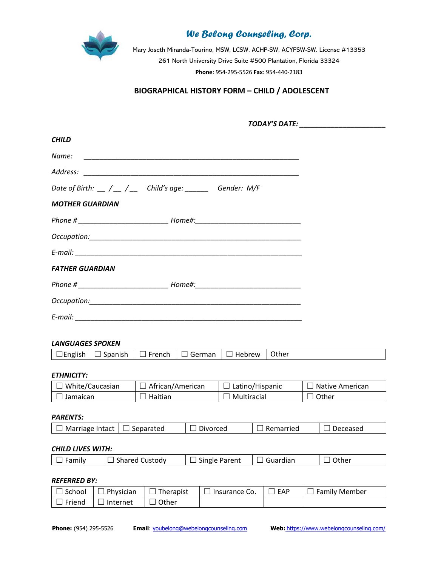

Mary Joseth Miranda-Tourino, MSW, LCSW, ACHP-SW, ACYFSW-SW. License #13353 261 North University Drive Suite #500 Plantation, Florida 33324 **Phone**: 954-295-5526 **Fax**: 954-440-2183

### **BIOGRAPHICAL HISTORY FORM – CHILD / ADOLESCENT**

*TODAY'S DATE: \_\_\_\_\_\_\_\_\_\_\_\_\_\_\_\_\_\_\_\_\_\_*

| <b>CHILD</b>                                                                      |  |
|-----------------------------------------------------------------------------------|--|
|                                                                                   |  |
|                                                                                   |  |
|                                                                                   |  |
| <b>MOTHER GUARDIAN</b>                                                            |  |
|                                                                                   |  |
|                                                                                   |  |
|                                                                                   |  |
| <b>FATHER GUARDIAN</b>                                                            |  |
| Phone # _________________________________ Home#:_________________________________ |  |
|                                                                                   |  |
|                                                                                   |  |

### *LANGUAGES SPOKEN*

| ∽<br>ther<br>$\sim$ no $\sim$<br>rench.<br>-nr<br>$(-2)$<br>ົີ<br>$\cdots$<br>. .<br>אוור<br>_____<br>___<br>____ |
|-------------------------------------------------------------------------------------------------------------------|
|-------------------------------------------------------------------------------------------------------------------|

### *ETHNICITY:*

| Mhite/Caucasian | African/American | Latino/Hispanic | Native American |
|-----------------|------------------|-----------------|-----------------|
| Jamaican        | Haitian          | Multiracial     | Other           |

#### *PARENTS:*

| Marriage<br>: Intact | eparated<br>וואו | . .<br>rceo<br>װ | iarried<br>H | ceased |
|----------------------|------------------|------------------|--------------|--------|
|                      |                  |                  |              |        |

### *CHILD LIVES WITH:*

| $\Box$ Family<br>Shared Custody<br>$\Box$ Single Parent<br>$\exists$ Guardian<br>Other |
|----------------------------------------------------------------------------------------|
|----------------------------------------------------------------------------------------|

#### *REFERRED BY:*

| School | Physician | Therapist | Insurance Co. | FAP | <b>Family Member</b> |
|--------|-----------|-----------|---------------|-----|----------------------|
| Frienc | Internet  | )ther     |               |     |                      |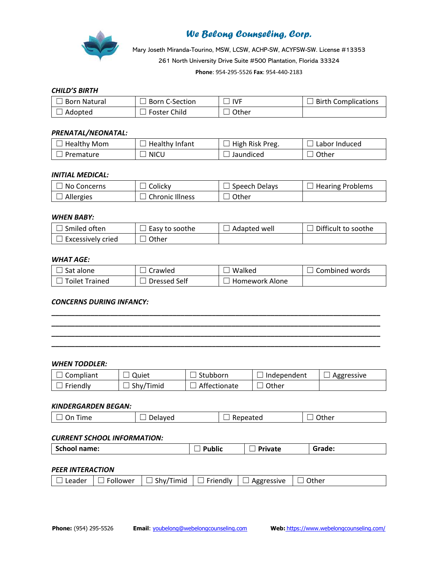

Mary Joseth Miranda-Tourino, MSW, LCSW, ACHP-SW, ACYFSW-SW. License #13353 261 North University Drive Suite #500 Plantation, Florida 33324 **Phone**: 954-295-5526 **Fax**: 954-440-2183

### *CHILD'S BIRTH*

| <b>Born Natural</b> | <b>Born C-Section</b> | <b>IVF</b> | <b>Birth Complications</b> |
|---------------------|-----------------------|------------|----------------------------|
| Adopted             | <b>Foster Child</b>   | Other      |                            |

#### *PRENATAL/NEONATAL:*

| <b>Healthy Mom</b> | Healthy Infant | <sup>1</sup> High Risk Preg. | ⊔ Labor Induced |
|--------------------|----------------|------------------------------|-----------------|
| Premature          | <b>NICU</b>    | Jaundiced                    | . Other         |

#### *INITIAL MEDICAL:*

| No Concerns        | Colicky                | Speech Delays | <b>Hearing Problems</b> |
|--------------------|------------------------|---------------|-------------------------|
| $\sqcup$ Allergies | <b>Chronic Illness</b> | Other         |                         |

#### *WHEN BABY:*

| ا Smiled often    | l Easy to soothe | Adapted well | Difficult to soothe |
|-------------------|------------------|--------------|---------------------|
| Excessively cried | . Other          |              |                     |

#### *WHAT AGE:*

| Sat alone      | Crawled      | Walked         | Combined words |
|----------------|--------------|----------------|----------------|
| Toilet Trained | Dressed Self | Homework Alone |                |

**\_\_\_\_\_\_\_\_\_\_\_\_\_\_\_\_\_\_\_\_\_\_\_\_\_\_\_\_\_\_\_\_\_\_\_\_\_\_\_\_\_\_\_\_\_\_\_\_\_\_\_\_\_\_\_\_\_\_\_\_\_\_\_\_\_\_\_\_\_\_\_\_\_\_\_\_\_\_\_\_\_\_\_\_ \_\_\_\_\_\_\_\_\_\_\_\_\_\_\_\_\_\_\_\_\_\_\_\_\_\_\_\_\_\_\_\_\_\_\_\_\_\_\_\_\_\_\_\_\_\_\_\_\_\_\_\_\_\_\_\_\_\_\_\_\_\_\_\_\_\_\_\_\_\_\_\_\_\_\_\_\_\_\_\_\_\_\_\_ \_\_\_\_\_\_\_\_\_\_\_\_\_\_\_\_\_\_\_\_\_\_\_\_\_\_\_\_\_\_\_\_\_\_\_\_\_\_\_\_\_\_\_\_\_\_\_\_\_\_\_\_\_\_\_\_\_\_\_\_\_\_\_\_\_\_\_\_\_\_\_\_\_\_\_\_\_\_\_\_\_\_\_\_ \_\_\_\_\_\_\_\_\_\_\_\_\_\_\_\_\_\_\_\_\_\_\_\_\_\_\_\_\_\_\_\_\_\_\_\_\_\_\_\_\_\_\_\_\_\_\_\_\_\_\_\_\_\_\_\_\_\_\_\_\_\_\_\_\_\_\_\_\_\_\_\_\_\_\_\_\_\_\_\_\_\_\_\_**

#### *CONCERNS DURING INFANCY:*

#### *WHEN TODDLER:*

| $\vdash \Box$ Compliant   | <b>Quiet</b>     | $\sqcup$ Stubborn   | $\Box$ Independent | $\Box$ Aggressive |
|---------------------------|------------------|---------------------|--------------------|-------------------|
| $\vert \; \vert$ Friendly | $\Box$ Shy/Timid | $\Box$ Affectionate | ⊿ Other            |                   |

#### *KINDERGARDEN BEGAN:*

| On<br>Time<br>_<br>_______ | . .<br>$\Box$ Delayed | Repeated | ገther<br>___ |
|----------------------------|-----------------------|----------|--------------|
|                            |                       |          |              |

#### *CURRENT SCHOOL INFORMATION:*

| <b>School name:</b><br>Public<br><b>Private</b><br>Grade: |
|-----------------------------------------------------------|
|-----------------------------------------------------------|

### *PEER INTERACTION*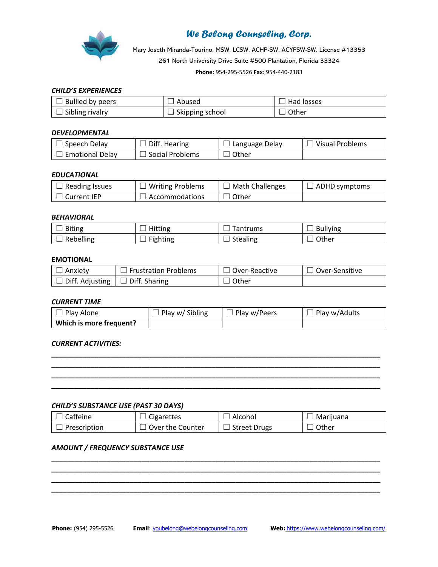

Mary Joseth Miranda-Tourino, MSW, LCSW, ACHP-SW, ACYFSW-SW. License #13353 261 North University Drive Suite #500 Plantation, Florida 33324 **Phone**: 954-295-5526 **Fax**: 954-440-2183

### *CHILD'S EXPERIENCES*

| Bullied by peers       | Abused            | Had losses |
|------------------------|-------------------|------------|
| $\Box$ Sibling rivalry | . Skipping school | Other      |

#### *DEVELOPMENTAL*

| Speech Delay           | Diff. Hearing   | Language Delay | Visual Problems |
|------------------------|-----------------|----------------|-----------------|
| <b>Emotional Delav</b> | Social Problems | Other          |                 |

#### *EDUCATIONAL*

| $\Box$ Reading Issues | $\Box$ Writing Problems | Math Challenges | $\Box$ ADHD symptoms |
|-----------------------|-------------------------|-----------------|----------------------|
| Current IEP           | J Accommodations        | Other           |                      |

#### *BEHAVIORAL*

| <b>Biting</b> | Hitting                | antrums         | <b>Bullying</b> |
|---------------|------------------------|-----------------|-----------------|
| Rebelling     | <b>Fighting</b><br>$-$ | <b>Stealing</b> | Other           |

### **EMOTIONAL**

| Anxiety                       | $\Box$ Frustration Problems | Over-Reactive | ⊥ Over-Sensitive |
|-------------------------------|-----------------------------|---------------|------------------|
| $\Box$ Diff. Adjusting $\Box$ | $\Box$ Diff. Sharing        | Other         |                  |

#### *CURRENT TIME*

| l Play Alone            | Play w/ Sibling | Play w/Peers | Play w/Adults |
|-------------------------|-----------------|--------------|---------------|
| Which is more frequent? |                 |              |               |

**\_\_\_\_\_\_\_\_\_\_\_\_\_\_\_\_\_\_\_\_\_\_\_\_\_\_\_\_\_\_\_\_\_\_\_\_\_\_\_\_\_\_\_\_\_\_\_\_\_\_\_\_\_\_\_\_\_\_\_\_\_\_\_\_\_\_\_\_\_\_\_\_\_\_\_\_\_\_\_\_\_\_\_\_ \_\_\_\_\_\_\_\_\_\_\_\_\_\_\_\_\_\_\_\_\_\_\_\_\_\_\_\_\_\_\_\_\_\_\_\_\_\_\_\_\_\_\_\_\_\_\_\_\_\_\_\_\_\_\_\_\_\_\_\_\_\_\_\_\_\_\_\_\_\_\_\_\_\_\_\_\_\_\_\_\_\_\_\_ \_\_\_\_\_\_\_\_\_\_\_\_\_\_\_\_\_\_\_\_\_\_\_\_\_\_\_\_\_\_\_\_\_\_\_\_\_\_\_\_\_\_\_\_\_\_\_\_\_\_\_\_\_\_\_\_\_\_\_\_\_\_\_\_\_\_\_\_\_\_\_\_\_\_\_\_\_\_\_\_\_\_\_\_ \_\_\_\_\_\_\_\_\_\_\_\_\_\_\_\_\_\_\_\_\_\_\_\_\_\_\_\_\_\_\_\_\_\_\_\_\_\_\_\_\_\_\_\_\_\_\_\_\_\_\_\_\_\_\_\_\_\_\_\_\_\_\_\_\_\_\_\_\_\_\_\_\_\_\_\_\_\_\_\_\_\_\_\_**

#### *CURRENT ACTIVITIES:*

#### *CHILD'S SUBSTANCE USE (PAST 30 DAYS)*

| l Caffeine   | Cigarettes         | Alcohol      | Marijuana |
|--------------|--------------------|--------------|-----------|
| Prescription | : Over the Counter | Street Drugs | ⊿ Other   |

**\_\_\_\_\_\_\_\_\_\_\_\_\_\_\_\_\_\_\_\_\_\_\_\_\_\_\_\_\_\_\_\_\_\_\_\_\_\_\_\_\_\_\_\_\_\_\_\_\_\_\_\_\_\_\_\_\_\_\_\_\_\_\_\_\_\_\_\_\_\_\_\_\_\_\_\_\_\_\_\_\_\_\_\_ \_\_\_\_\_\_\_\_\_\_\_\_\_\_\_\_\_\_\_\_\_\_\_\_\_\_\_\_\_\_\_\_\_\_\_\_\_\_\_\_\_\_\_\_\_\_\_\_\_\_\_\_\_\_\_\_\_\_\_\_\_\_\_\_\_\_\_\_\_\_\_\_\_\_\_\_\_\_\_\_\_\_\_\_ \_\_\_\_\_\_\_\_\_\_\_\_\_\_\_\_\_\_\_\_\_\_\_\_\_\_\_\_\_\_\_\_\_\_\_\_\_\_\_\_\_\_\_\_\_\_\_\_\_\_\_\_\_\_\_\_\_\_\_\_\_\_\_\_\_\_\_\_\_\_\_\_\_\_\_\_\_\_\_\_\_\_\_\_ \_\_\_\_\_\_\_\_\_\_\_\_\_\_\_\_\_\_\_\_\_\_\_\_\_\_\_\_\_\_\_\_\_\_\_\_\_\_\_\_\_\_\_\_\_\_\_\_\_\_\_\_\_\_\_\_\_\_\_\_\_\_\_\_\_\_\_\_\_\_\_\_\_\_\_\_\_\_\_\_\_\_\_\_**

#### *AMOUNT / FREQUENCY SUBSTANCE USE*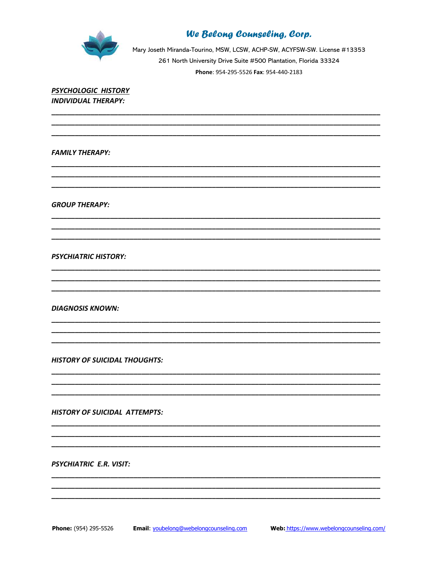

Mary Joseth Miranda-Tourino, MSW, LCSW, ACHP-SW, ACYFSW-SW. License #13353 261 North University Drive Suite #500 Plantation, Florida 33324 Phone: 954-295-5526 Fax: 954-440-2183

PSYCHOLOGIC HISTORY **INDIVIDUAL THERAPY:** 

**FAMILY THERAPY:** 

**GROUP THERAPY:** 

**PSYCHIATRIC HISTORY:** 

**DIAGNOSIS KNOWN:** 

**HISTORY OF SUICIDAL THOUGHTS:** 

**HISTORY OF SUICIDAL ATTEMPTS:** 

PSYCHIATRIC E.R. VISIT: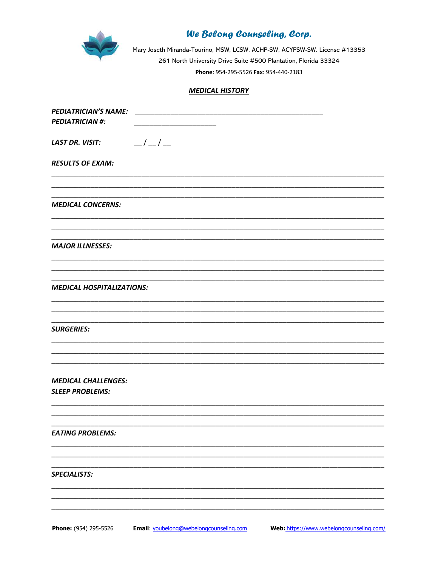

Mary Joseth Miranda-Tourino, MSW, LCSW, ACHP-SW, ACYFSW-SW. License #13353 261 North University Drive Suite #500 Plantation, Florida 33324 Phone: 954-295-5526 Fax: 954-440-2183

### **MEDICAL HISTORY**

| <b>PEDIATRICIAN'S NAME:</b>               |
|-------------------------------------------|
| <b>PEDIATRICIAN #:</b>                    |
|                                           |
| $\frac{-1}{-1}$<br><b>LAST DR. VISIT:</b> |
|                                           |
| <b>RESULTS OF EXAM:</b>                   |
|                                           |
|                                           |
|                                           |
| <b>MEDICAL CONCERNS:</b>                  |
|                                           |
|                                           |
|                                           |
| <b>MAJOR ILLNESSES:</b>                   |
|                                           |
|                                           |
|                                           |
| <b>MEDICAL HOSPITALIZATIONS:</b>          |
|                                           |
|                                           |
|                                           |
| <b>SURGERIES:</b>                         |
|                                           |
|                                           |
|                                           |
|                                           |
| <b>MEDICAL CHALLENGES:</b>                |
| <b>SLEEP PROBLEMS:</b>                    |
|                                           |
|                                           |
|                                           |
| <b>EATING PROBLEMS:</b>                   |
|                                           |
|                                           |
|                                           |
| <b>SPECIALISTS:</b>                       |
|                                           |
|                                           |
|                                           |
|                                           |

Phone: (954) 295-5526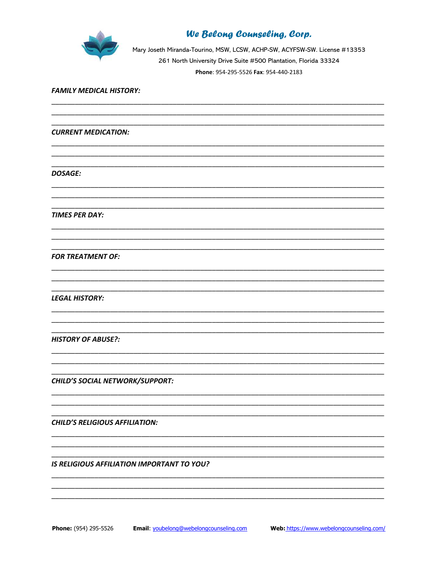

Mary Joseth Miranda-Tourino, MSW, LCSW, ACHP-SW, ACYFSW-SW. License #13353 261 North University Drive Suite #500 Plantation, Florida 33324 Phone: 954-295-5526 Fax: 954-440-2183

#### **FAMILY MEDICAL HISTORY:**

**CURRENT MEDICATION:** 

**DOSAGE:** 

**TIMES PER DAY:** 

**FOR TREATMENT OF:** 

**LEGAL HISTORY:** 

**HISTORY OF ABUSE?:** 

**CHILD'S SOCIAL NETWORK/SUPPORT:** 

**CHILD'S RELIGIOUS AFFILIATION:** 

IS RELIGIOUS AFFILIATION IMPORTANT TO YOU?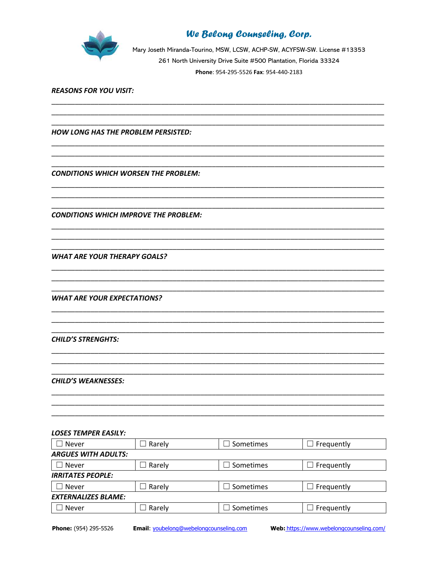

Mary Joseth Miranda-Tourino, MSW, LCSW, ACHP-SW, ACYFSW-SW. License #13353 261 North University Drive Suite #500 Plantation, Florida 33324 Phone: 954-295-5526 Fax: 954-440-2183

#### **REASONS FOR YOU VISIT:**

**HOW LONG HAS THE PROBLEM PERSISTED:** 

**CONDITIONS WHICH WORSEN THE PROBLEM:** 

**CONDITIONS WHICH IMPROVE THE PROBLEM:** 

**WHAT ARE YOUR THERAPY GOALS?** 

**WHAT ARE YOUR EXPECTATIONS?** 

**CHILD'S STRENGHTS:** 

**CHILD'S WEAKNESSES:** 

#### **LOSES TEMPER EASILY:**

| Never                      | Rarely | Sometimes | Frequently |  |
|----------------------------|--------|-----------|------------|--|
| <b>ARGUES WITH ADULTS:</b> |        |           |            |  |
| Never                      | Rarely | Sometimes | Frequently |  |
| <b>IRRITATES PEOPLE:</b>   |        |           |            |  |
| Never                      | Rarely | Sometimes | Frequently |  |
| <b>EXTERNALIZES BLAME:</b> |        |           |            |  |
| Never                      | Rarely | Sometimes | Frequently |  |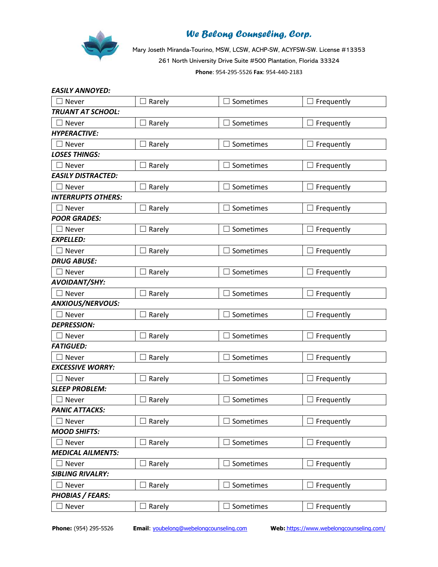

Mary Joseth Miranda-Tourino, MSW, LCSW, ACHP-SW, ACYFSW-SW. License #13353 261 North University Drive Suite #500 Plantation, Florida 33324 **Phone**: 954-295-5526 **Fax**: 954-440-2183

| <b>EASILY ANNOYED:</b>    |                                    |                       |                   |
|---------------------------|------------------------------------|-----------------------|-------------------|
| $\exists$ Never           | Rarely                             | $\Box$ Sometimes      | $\Box$ Frequently |
| TRUANT AT SCHOOL:         |                                    |                       |                   |
| $\sqsupset$ Never         | Rarely                             | $\sqsupset$ Sometimes | $\Box$ Frequently |
| <b>HYPERACTIVE:</b>       |                                    |                       |                   |
| $\Box$ Never              | Rarely                             | $\exists$ Sometimes   | $\Box$ Frequently |
| <b>LOSES THINGS:</b>      |                                    |                       |                   |
| $\Box$ Never              | $\Box$ Rarely                      | $\Box$ Sometimes      | $\Box$ Frequently |
| <b>EASILY DISTRACTED:</b> |                                    |                       |                   |
| $\Box$ Never              | $\Box$ Rarely                      | $\exists$ Sometimes   | $\Box$ Frequently |
| <b>INTERRUPTS OTHERS:</b> |                                    |                       |                   |
| $\Box$ Never              | Rarely                             | $\Box$ Sometimes      | $\Box$ Frequently |
| <b>POOR GRADES:</b>       |                                    |                       |                   |
| $\Box$ Never              | Rarely                             | Sometimes             | $\Box$ Frequently |
| <b>EXPELLED:</b>          |                                    |                       |                   |
| $\Box$ Never              | Rarely                             | □ Sometimes           | $\Box$ Frequently |
| <b>DRUG ABUSE:</b>        |                                    |                       |                   |
| $\Box$ Never              | Rarely                             | Sometimes             | Frequently        |
| AVOIDANT/SHY:             |                                    |                       |                   |
| $\sqsupset$ Never         | Rarely                             | □ Sometimes           | $\Box$ Frequently |
| ANXIOUS/NERVOUS:          |                                    |                       |                   |
| $\Box$ Never              | Rarely                             | □ Sometimes           | $\Box$ Frequently |
| <b>DEPRESSION:</b>        |                                    |                       |                   |
| Never                     | Rarely                             | Sometimes             | $\Box$ Frequently |
| <b>FATIGUED:</b>          |                                    |                       |                   |
| $\Box$ Never              | Rarely                             | $\exists$ Sometimes   | $\Box$ Frequently |
| <b>EXCESSIVE WORRY:</b>   |                                    |                       |                   |
| Never                     | Rarely                             | Sometimes             | $\Box$ Frequently |
| <b>SLEEP PROBLEM:</b>     |                                    |                       |                   |
| $\sqsupset$ Never         | Rarely                             | $\exists$ Sometimes   | $\Box$ Frequently |
| <b>PANIC ATTACKS:</b>     |                                    |                       |                   |
| Never                     | $\Box$ Rarely                      | $\exists$ Sometimes   | $\Box$ Frequently |
| <b>MOOD SHIFTS:</b>       |                                    |                       |                   |
| Never                     | Rarely<br>$\overline{\phantom{a}}$ | Sometimes             | $\Box$ Frequently |
| <b>MEDICAL AILMENTS:</b>  |                                    |                       |                   |
| Never                     | $\Box$ Rarely                      | $\Box$ Sometimes      | $\Box$ Frequently |
| <b>SIBLING RIVALRY:</b>   |                                    |                       |                   |
| Never                     | Rarely                             | $\Box$ Sometimes      | $\Box$ Frequently |
| <b>PHOBIAS / FEARS:</b>   |                                    |                       |                   |
| Never                     | Rarely                             | $\exists$ Sometimes   | $\Box$ Frequently |